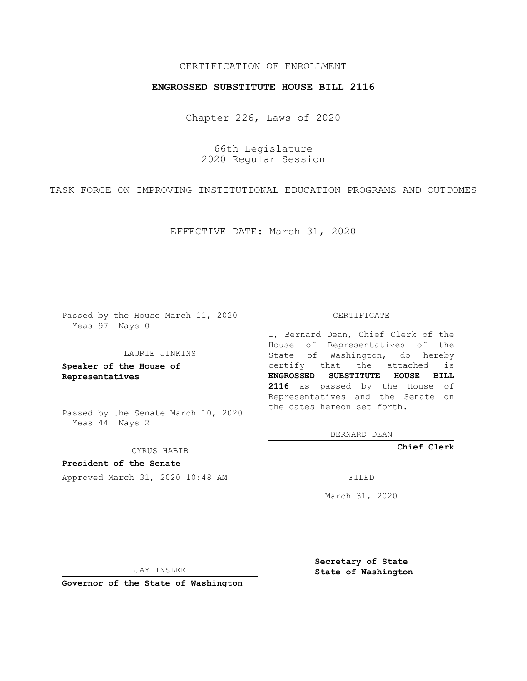## CERTIFICATION OF ENROLLMENT

## **ENGROSSED SUBSTITUTE HOUSE BILL 2116**

Chapter 226, Laws of 2020

66th Legislature 2020 Regular Session

TASK FORCE ON IMPROVING INSTITUTIONAL EDUCATION PROGRAMS AND OUTCOMES

EFFECTIVE DATE: March 31, 2020

Passed by the House March 11, 2020 Yeas 97 Nays 0

#### LAURIE JINKINS

**Speaker of the House of Representatives**

Passed by the Senate March 10, 2020 Yeas 44 Nays 2

CYRUS HABIB

**President of the Senate** Approved March 31, 2020 10:48 AM FILED

CERTIFICATE

I, Bernard Dean, Chief Clerk of the House of Representatives of the State of Washington, do hereby certify that the attached is **ENGROSSED SUBSTITUTE HOUSE BILL 2116** as passed by the House of Representatives and the Senate on the dates hereon set forth.

BERNARD DEAN

**Chief Clerk**

March 31, 2020

JAY INSLEE

**Governor of the State of Washington**

**Secretary of State State of Washington**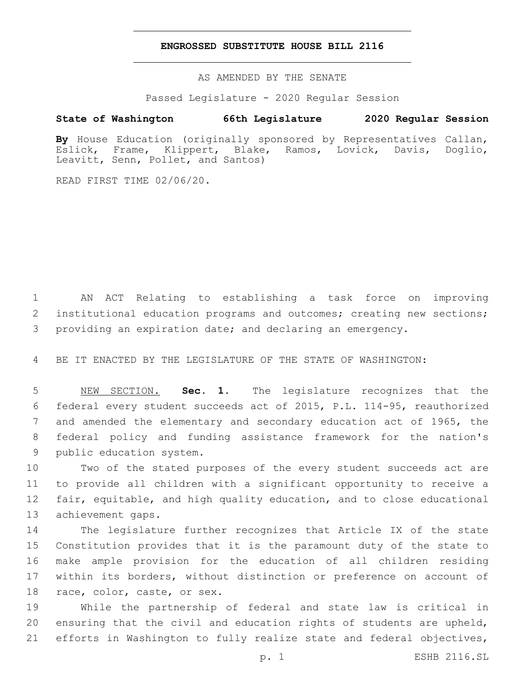## **ENGROSSED SUBSTITUTE HOUSE BILL 2116**

AS AMENDED BY THE SENATE

Passed Legislature - 2020 Regular Session

# **State of Washington 66th Legislature 2020 Regular Session**

**By** House Education (originally sponsored by Representatives Callan, Eslick, Frame, Klippert, Blake, Ramos, Lovick, Davis, Doglio, Leavitt, Senn, Pollet, and Santos)

READ FIRST TIME 02/06/20.

1 AN ACT Relating to establishing a task force on improving 2 institutional education programs and outcomes; creating new sections; 3 providing an expiration date; and declaring an emergency.

4 BE IT ENACTED BY THE LEGISLATURE OF THE STATE OF WASHINGTON:

 NEW SECTION. **Sec. 1.** The legislature recognizes that the federal every student succeeds act of 2015, P.L. 114-95, reauthorized and amended the elementary and secondary education act of 1965, the federal policy and funding assistance framework for the nation's public education system.

 Two of the stated purposes of the every student succeeds act are to provide all children with a significant opportunity to receive a fair, equitable, and high quality education, and to close educational 13 achievement gaps.

 The legislature further recognizes that Article IX of the state Constitution provides that it is the paramount duty of the state to make ample provision for the education of all children residing within its borders, without distinction or preference on account of 18 race, color, caste, or sex.

19 While the partnership of federal and state law is critical in 20 ensuring that the civil and education rights of students are upheld, 21 efforts in Washington to fully realize state and federal objectives,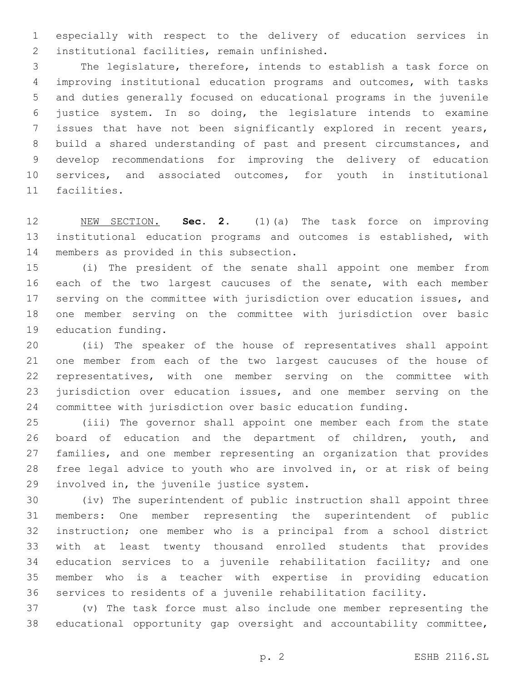especially with respect to the delivery of education services in 2 institutional facilities, remain unfinished.

 The legislature, therefore, intends to establish a task force on improving institutional education programs and outcomes, with tasks and duties generally focused on educational programs in the juvenile justice system. In so doing, the legislature intends to examine issues that have not been significantly explored in recent years, build a shared understanding of past and present circumstances, and develop recommendations for improving the delivery of education services, and associated outcomes, for youth in institutional 11 facilities.

 NEW SECTION. **Sec. 2.** (1)(a) The task force on improving institutional education programs and outcomes is established, with members as provided in this subsection.

 (i) The president of the senate shall appoint one member from each of the two largest caucuses of the senate, with each member serving on the committee with jurisdiction over education issues, and one member serving on the committee with jurisdiction over basic 19 education funding.

 (ii) The speaker of the house of representatives shall appoint one member from each of the two largest caucuses of the house of representatives, with one member serving on the committee with jurisdiction over education issues, and one member serving on the committee with jurisdiction over basic education funding.

 (iii) The governor shall appoint one member each from the state board of education and the department of children, youth, and families, and one member representing an organization that provides free legal advice to youth who are involved in, or at risk of being 29 involved in, the juvenile justice system.

 (iv) The superintendent of public instruction shall appoint three members: One member representing the superintendent of public instruction; one member who is a principal from a school district with at least twenty thousand enrolled students that provides education services to a juvenile rehabilitation facility; and one member who is a teacher with expertise in providing education services to residents of a juvenile rehabilitation facility.

 (v) The task force must also include one member representing the educational opportunity gap oversight and accountability committee,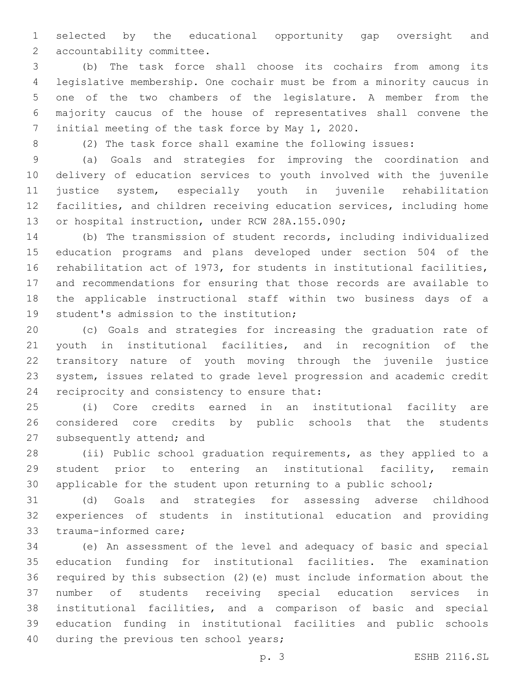selected by the educational opportunity gap oversight and 2 accountability committee.

 (b) The task force shall choose its cochairs from among its legislative membership. One cochair must be from a minority caucus in one of the two chambers of the legislature. A member from the majority caucus of the house of representatives shall convene the 7 initial meeting of the task force by May 1, 2020.

(2) The task force shall examine the following issues:

 (a) Goals and strategies for improving the coordination and delivery of education services to youth involved with the juvenile justice system, especially youth in juvenile rehabilitation facilities, and children receiving education services, including home 13 or hospital instruction, under RCW 28A.155.090;

 (b) The transmission of student records, including individualized education programs and plans developed under section 504 of the rehabilitation act of 1973, for students in institutional facilities, and recommendations for ensuring that those records are available to the applicable instructional staff within two business days of a 19 student's admission to the institution;

 (c) Goals and strategies for increasing the graduation rate of youth in institutional facilities, and in recognition of the transitory nature of youth moving through the juvenile justice system, issues related to grade level progression and academic credit 24 reciprocity and consistency to ensure that:

 (i) Core credits earned in an institutional facility are considered core credits by public schools that the students 27 subsequently attend; and

 (ii) Public school graduation requirements, as they applied to a student prior to entering an institutional facility, remain applicable for the student upon returning to a public school;

 (d) Goals and strategies for assessing adverse childhood experiences of students in institutional education and providing 33 trauma-informed care;

 (e) An assessment of the level and adequacy of basic and special education funding for institutional facilities. The examination required by this subsection (2)(e) must include information about the number of students receiving special education services in institutional facilities, and a comparison of basic and special education funding in institutional facilities and public schools 40 during the previous ten school years;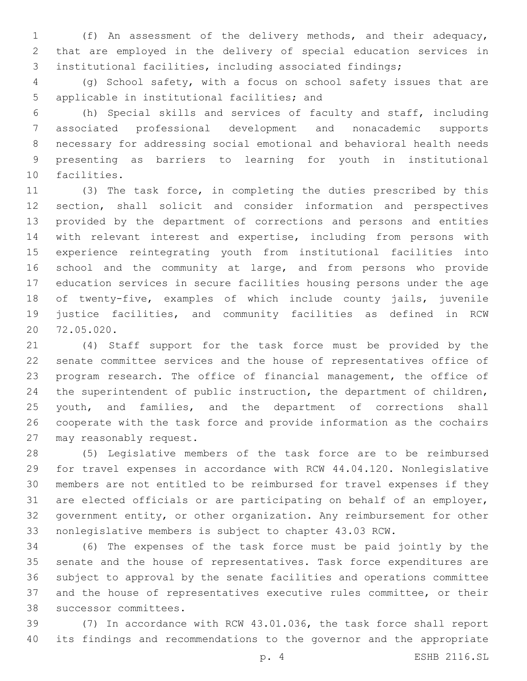(f) An assessment of the delivery methods, and their adequacy, that are employed in the delivery of special education services in institutional facilities, including associated findings;

 (g) School safety, with a focus on school safety issues that are 5 applicable in institutional facilities; and

 (h) Special skills and services of faculty and staff, including associated professional development and nonacademic supports necessary for addressing social emotional and behavioral health needs presenting as barriers to learning for youth in institutional 10 facilities.

 (3) The task force, in completing the duties prescribed by this section, shall solicit and consider information and perspectives provided by the department of corrections and persons and entities with relevant interest and expertise, including from persons with experience reintegrating youth from institutional facilities into school and the community at large, and from persons who provide education services in secure facilities housing persons under the age of twenty-five, examples of which include county jails, juvenile justice facilities, and community facilities as defined in RCW 72.05.020.20

 (4) Staff support for the task force must be provided by the senate committee services and the house of representatives office of program research. The office of financial management, the office of the superintendent of public instruction, the department of children, 25 youth, and families, and the department of corrections shall cooperate with the task force and provide information as the cochairs 27 may reasonably request.

 (5) Legislative members of the task force are to be reimbursed for travel expenses in accordance with RCW 44.04.120. Nonlegislative members are not entitled to be reimbursed for travel expenses if they are elected officials or are participating on behalf of an employer, government entity, or other organization. Any reimbursement for other nonlegislative members is subject to chapter 43.03 RCW.

 (6) The expenses of the task force must be paid jointly by the senate and the house of representatives. Task force expenditures are subject to approval by the senate facilities and operations committee and the house of representatives executive rules committee, or their 38 successor committees.

 (7) In accordance with RCW 43.01.036, the task force shall report its findings and recommendations to the governor and the appropriate

p. 4 ESHB 2116.SL